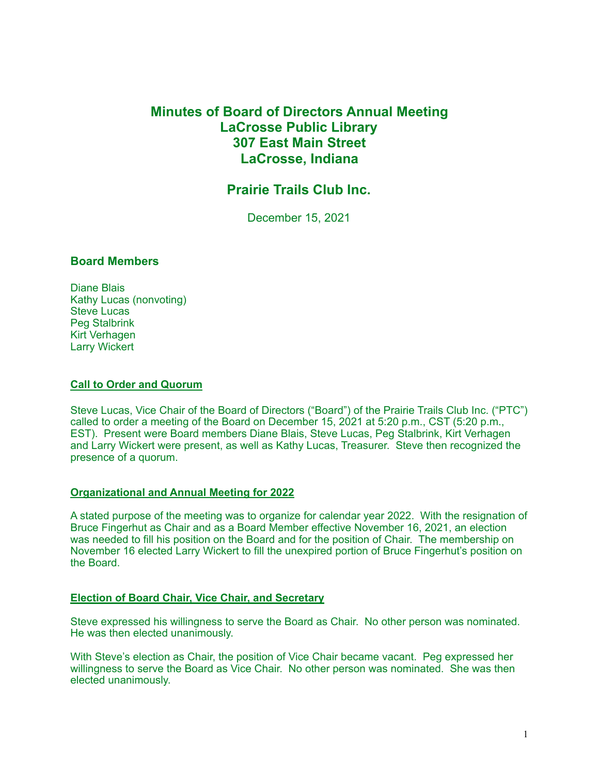# **Minutes of Board of Directors Annual Meeting LaCrosse Public Library 307 East Main Street LaCrosse, Indiana**

# **Prairie Trails Club Inc.**

December 15, 2021

## **Board Members**

Diane Blais Kathy Lucas (nonvoting) Steve Lucas Peg Stalbrink Kirt Verhagen Larry Wickert

#### **Call to Order and Quorum**

Steve Lucas, Vice Chair of the Board of Directors ("Board") of the Prairie Trails Club Inc. ("PTC") called to order a meeting of the Board on December 15, 2021 at 5:20 p.m., CST (5:20 p.m., EST). Present were Board members Diane Blais, Steve Lucas, Peg Stalbrink, Kirt Verhagen and Larry Wickert were present, as well as Kathy Lucas, Treasurer. Steve then recognized the presence of a quorum.

#### **Organizational and Annual Meeting for 2022**

A stated purpose of the meeting was to organize for calendar year 2022. With the resignation of Bruce Fingerhut as Chair and as a Board Member effective November 16, 2021, an election was needed to fill his position on the Board and for the position of Chair. The membership on November 16 elected Larry Wickert to fill the unexpired portion of Bruce Fingerhut's position on the Board.

## **Election of Board Chair, Vice Chair, and Secretary**

Steve expressed his willingness to serve the Board as Chair. No other person was nominated. He was then elected unanimously.

With Steve's election as Chair, the position of Vice Chair became vacant. Peg expressed her willingness to serve the Board as Vice Chair. No other person was nominated. She was then elected unanimously.